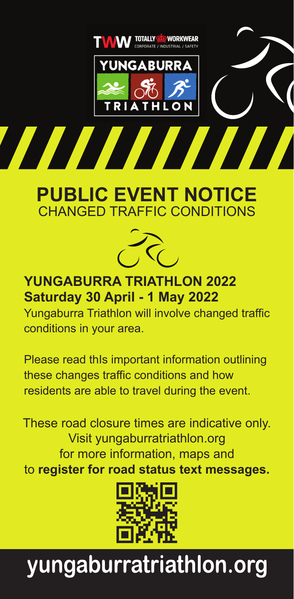

# **PUBLIC EVENT NOTICE** CHANGED TRAFFIC CONDITIONS



**YUNGABURRA TRIATHLON 2022 Saturday 30 April - 1 May 2022**

Yungaburra Triathlon will involve changed traffic conditions in your area.

Please read thIs important information outlining these changes traffic conditions and how residents are able to travel during the event.

These road closure times are indicative only. Visit yungaburratriathlon.org for more information, maps and to **register for road status text messages.**



# yungaburratriathlon.org